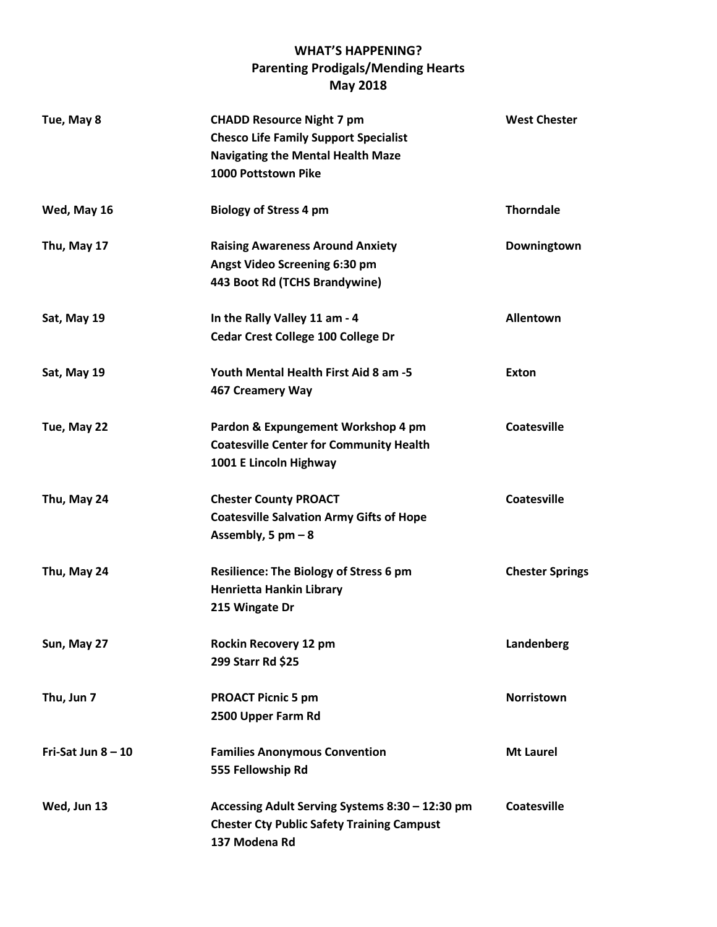## **WHAT'S HAPPENING? Parenting Prodigals/Mending Hearts May 2018**

| Tue, May 8           | <b>CHADD Resource Night 7 pm</b><br><b>Chesco Life Family Support Specialist</b><br><b>Navigating the Mental Health Maze</b><br>1000 Pottstown Pike | <b>West Chester</b>    |
|----------------------|-----------------------------------------------------------------------------------------------------------------------------------------------------|------------------------|
| Wed, May 16          | <b>Biology of Stress 4 pm</b>                                                                                                                       | <b>Thorndale</b>       |
| Thu, May 17          | <b>Raising Awareness Around Anxiety</b><br>Angst Video Screening 6:30 pm<br>443 Boot Rd (TCHS Brandywine)                                           | Downingtown            |
| Sat, May 19          | In the Rally Valley 11 am - 4<br>Cedar Crest College 100 College Dr                                                                                 | Allentown              |
| Sat, May 19          | Youth Mental Health First Aid 8 am -5<br>467 Creamery Way                                                                                           | Exton                  |
| Tue, May 22          | Pardon & Expungement Workshop 4 pm<br><b>Coatesville Center for Community Health</b><br>1001 E Lincoln Highway                                      | Coatesville            |
| Thu, May 24          | <b>Chester County PROACT</b><br><b>Coatesville Salvation Army Gifts of Hope</b><br>Assembly, 5 $pm - 8$                                             | <b>Coatesville</b>     |
| Thu, May 24          | <b>Resilience: The Biology of Stress 6 pm</b><br><b>Henrietta Hankin Library</b><br>215 Wingate Dr                                                  | <b>Chester Springs</b> |
| Sun, May 27          | Rockin Recovery 12 pm<br>299 Starr Rd \$25                                                                                                          | Landenberg             |
| Thu, Jun 7           | <b>PROACT Picnic 5 pm</b><br>2500 Upper Farm Rd                                                                                                     | <b>Norristown</b>      |
| Fri-Sat Jun $8 - 10$ | <b>Families Anonymous Convention</b><br>555 Fellowship Rd                                                                                           | <b>Mt Laurel</b>       |
| Wed, Jun 13          | Accessing Adult Serving Systems 8:30 - 12:30 pm<br><b>Chester Cty Public Safety Training Campust</b><br>137 Modena Rd                               | <b>Coatesville</b>     |